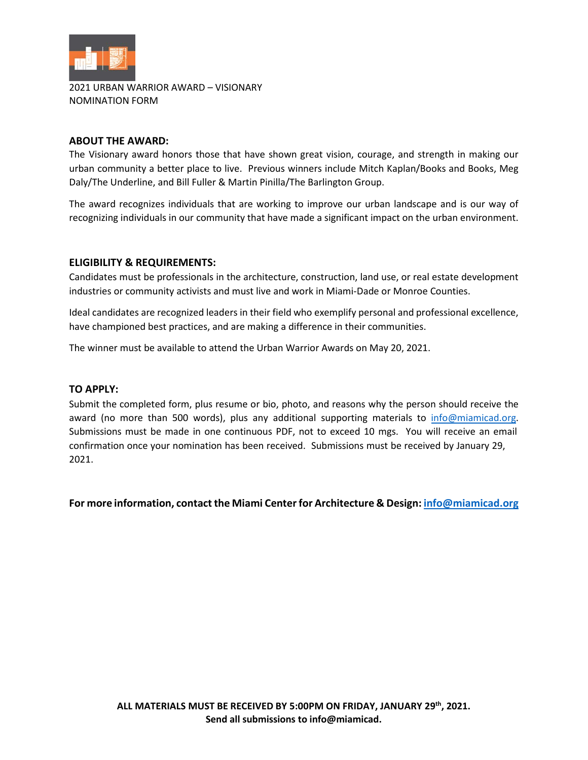

2021 URBAN WARRIOR AWARD – VISIONARY NOMINATION FORM

## **ABOUT THE AWARD:**

The Visionary award honors those that have shown great vision, courage, and strength in making our urban community a better place to live. Previous winners include Mitch Kaplan/Books and Books, Meg Daly/The Underline, and Bill Fuller & Martin Pinilla/The Barlington Group.

The award recognizes individuals that are working to improve our urban landscape and is our way of recognizing individuals in our community that have made a significant impact on the urban environment.

# **ELIGIBILITY & REQUIREMENTS:**

Candidates must be professionals in the architecture, construction, land use, or real estate development industries or community activists and must live and work in Miami-Dade or Monroe Counties.

Ideal candidates are recognized leaders in their field who exemplify personal and professional excellence, have championed best practices, and are making a difference in their communities.

The winner must be available to attend the Urban Warrior Awards on May 20, 2021.

## **TO APPLY:**

Submit the completed form, plus resume or bio, photo, and reasons why the person should receive the award (no more than 500 words), plus any additional supporting materials to [info@miamicad.org.](mailto:info@miamicad.org) Submissions must be made in one continuous PDF, not to exceed 10 mgs. You will receive an email confirmation once your nomination has been received. Submissions must be received by January 29, 2021.

**For more information, contact the Miami Center for Architecture & Design[: info@miamicad.org](mailto:info@miamicad.org)**